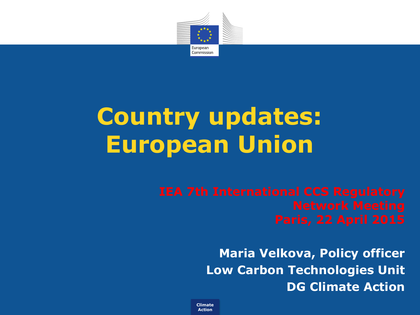

## **Country updates: European Union**

**Maria Velkova, Policy officer Low Carbon Technologies Unit DG Climate Action** 

**Climate Action**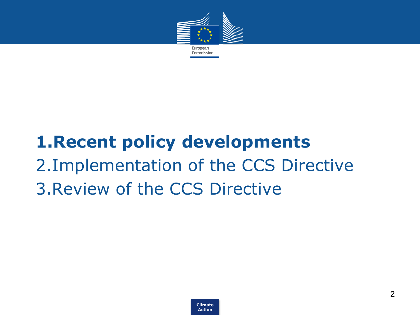

### • **1.Recent policy developments** • 2.Implementation of the CCS Directive • 3.Review of the CCS Directive

**Climate Action**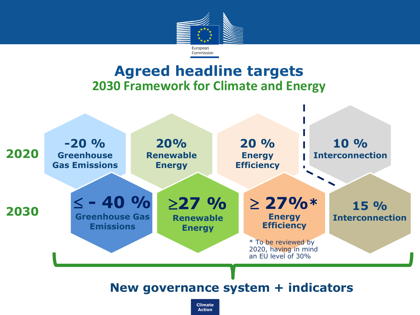

#### **Agreed headline targets 2030 Framework for Climate and Energy**

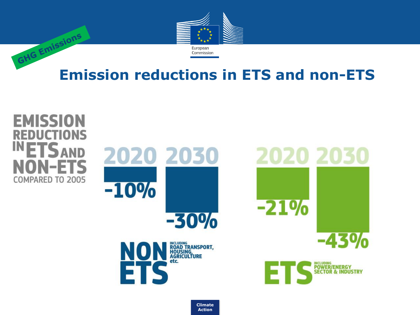

# **GHG Emissions Emission reductions in ETS and non-ETS**



**Climate Action**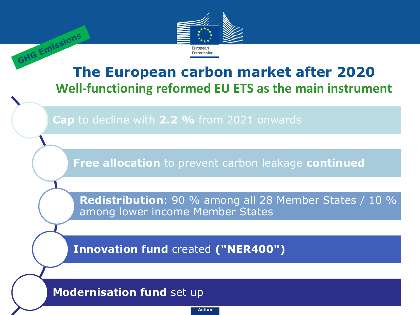

# **The European carbon market after 2020 Well-functioning reformed EU ETS as the main instrument**

**Cap** to decline with **2.2 %** from 2021 onwards

**Free allocation** to prevent carbon leakage **continued**

**Redistribution**: 90 % among all 28 Member States / 10 % among lower income Member States

**Innovation fund** created **("NER400")**

#### **Modernisation fund** set up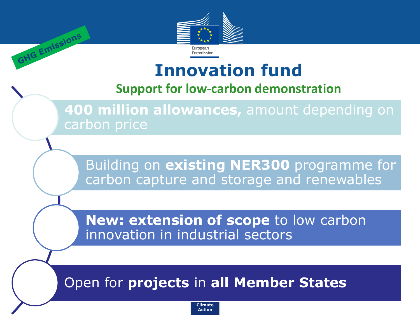

GHG Emissions

#### **Innovation fund**

#### **Support for low-carbon demonstration**

**400 million allowances,** amount depending on carbon price

Building on **existing NER300** programme for carbon capture and storage and renewables

**New: extension of scope to low carbon** innovation in industrial sectors

#### Open for **projects** in **all Member States**

**Climate Action**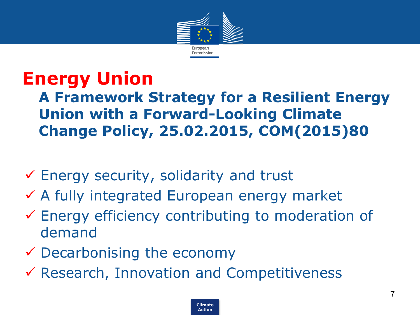

#### **Energy Union A Framework Strategy for a Resilient Energy Union with a Forward-Looking Climate Change Policy, 25.02.2015, COM(2015)80**

- $\checkmark$  Energy security, solidarity and trust
- A fully integrated European energy market
- Energy efficiency contributing to moderation of demand
- $\checkmark$  Decarbonising the economy
- Research, Innovation and Competitiveness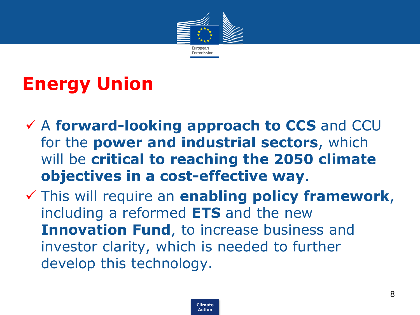

### **Energy Union**

- A **forward-looking approach to CCS** and CCU for the **power and industrial sectors**, which will be **critical to reaching the 2050 climate objectives in a cost-effective way**.
- This will require an **enabling policy framework**, including a reformed **ETS** and the new **Innovation Fund**, to increase business and investor clarity, which is needed to further develop this technology.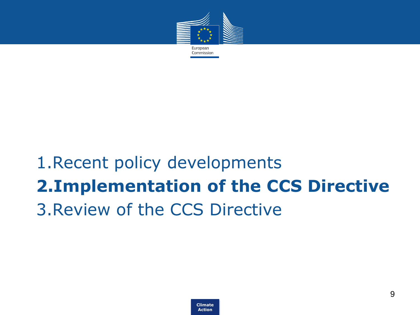

### 1. Recent policy developments • **2.Implementation of the CCS Directive**  • 3.Review of the CCS Directive

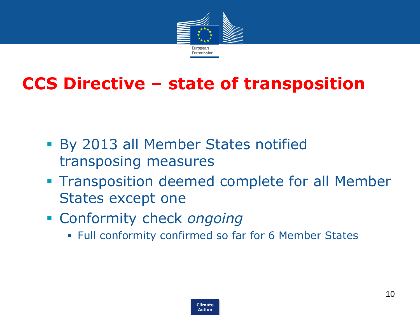

#### **CCS Directive – state of transposition**

- By 2013 all Member States notified transposing measures
- **Transposition deemed complete for all Member** States except one
- Conformity check *ongoing*
	- Full conformity confirmed so far for 6 Member States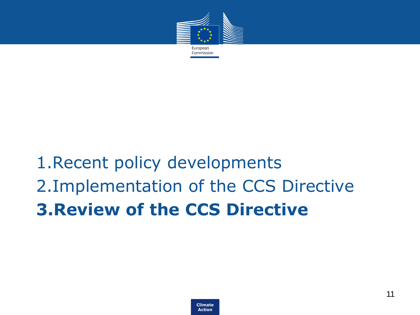

### 1. Recent policy developments • 2.Implementation of the CCS Directive • **3.Review of the CCS Directive**

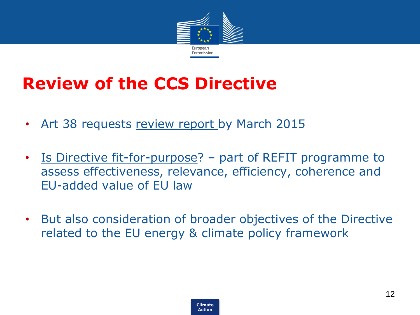

#### **Review of the CCS Directive**

- Art 38 requests review report by March 2015
- Is Directive fit-for-purpose? part of REFIT programme to assess effectiveness, relevance, efficiency, coherence and EU-added value of EU law
- But also consideration of broader objectives of the Directive related to the EU energy & climate policy framework

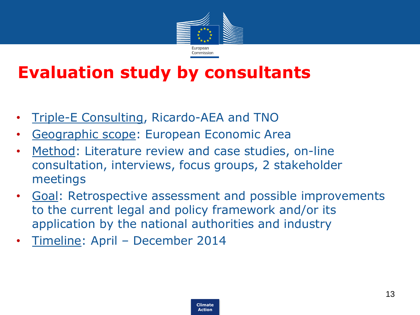

#### **Evaluation study by consultants**

- Triple-E Consulting, Ricardo-AEA and TNO
- Geographic scope: European Economic Area
- Method: Literature review and case studies, on-line consultation, interviews, focus groups, 2 stakeholder meetings
- Goal: Retrospective assessment and possible improvements to the current legal and policy framework and/or its application by the national authorities and industry
- Timeline: April December 2014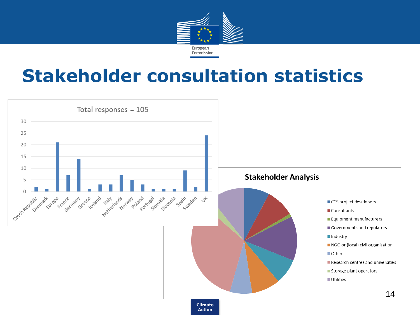

#### **Stakeholder consultation statistics**

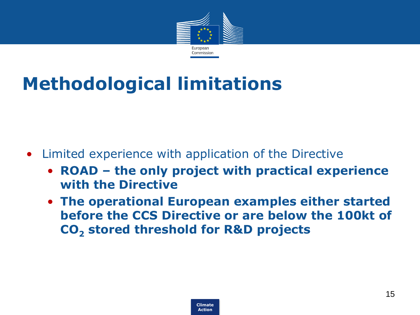

### **Methodological limitations**

- Limited experience with application of the Directive
	- **ROAD – the only project with practical experience with the Directive**
	- **The operational European examples either started before the CCS Directive or are below the 100kt of CO<sup>2</sup> stored threshold for R&D projects**

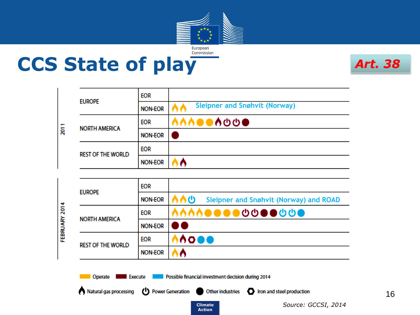

**CCS State of play**

*Art. 38*

| ន្ត | <b>EUROPE</b>            | <b>EOR</b>     |                                      |
|-----|--------------------------|----------------|--------------------------------------|
|     |                          | <b>NON-EOR</b> | <b>Sleipner and Snøhvit (Norway)</b> |
|     | <b>NORTH AMERICA</b>     | <b>EOR</b>     |                                      |
|     |                          | <b>NON-EOR</b> |                                      |
|     | <b>REST OF THE WORLD</b> | <b>EOR</b>     |                                      |
|     |                          | <b>NON-EOR</b> |                                      |

| 2014<br>FEBRUARY | <b>EUROPE</b>            | <b>EOR</b>     |                                              |
|------------------|--------------------------|----------------|----------------------------------------------|
|                  |                          | <b>NON-EOR</b> | への<br>Sleipner and Snøhvit (Norway) and ROAD |
|                  | <b>NORTH AMERICA</b>     | <b>EOR</b>     | ^^^^●●●● <b>⊙⊙●●<del>⊙</del></b>             |
|                  |                          | <b>NON-EOR</b> | $\mathbf{I}$                                 |
|                  | <b>REST OF THE WORLD</b> | <b>EOR</b>     | 0000                                         |
|                  |                          | <b>NON-EOR</b> |                                              |

**Action**

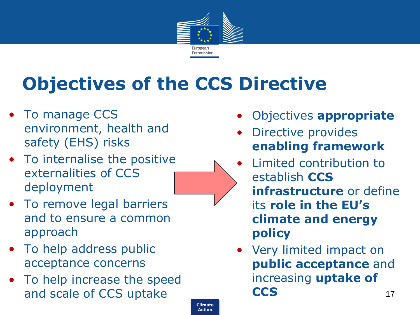

### **Objectives of the CCS Directive**

- To manage CCS environment, health and safety (EHS) risks
- To internalise the positive externalities of CCS deployment
- To remove legal barriers and to ensure a common approach
- To help address public acceptance concerns
- To help increase the speed and scale of CCS uptake **17** and scale of CCS uptake 17
- Objectives **appropriate**
- Directive provides **enabling framework**
- Limited contribution to establish **CCS infrastructure** or define its **role in the EU's climate and energy policy**
- Very limited impact on **public acceptance** and increasing **uptake of CCS**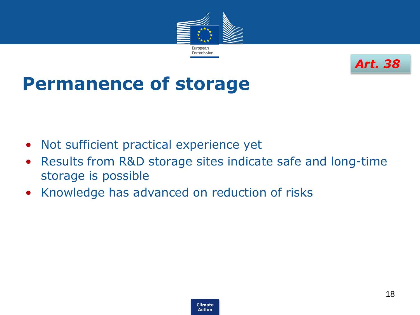



#### **Permanence of storage**

- Not sufficient practical experience yet
- Results from R&D storage sites indicate safe and long-time storage is possible
- Knowledge has advanced on reduction of risks

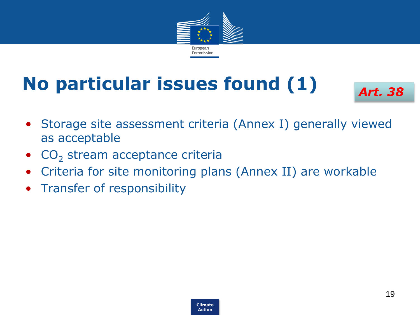

### **No particular issues found (1)**



- Storage site assessment criteria (Annex I) generally viewed as acceptable
- $CO<sub>2</sub>$  stream acceptance criteria
- Criteria for site monitoring plans (Annex II) are workable
- Transfer of responsibility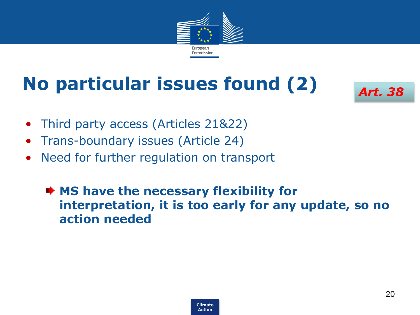

### **No particular issues found (2)**



- Third party access (Articles 21&22)
- Trans-boundary issues (Article 24)
- Need for further regulation on transport
	- **★ MS have the necessary flexibility for interpretation, it is too early for any update, so no action needed**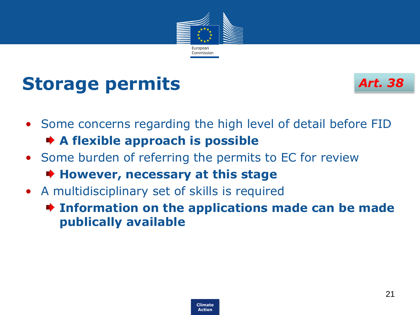

#### **Storage permits**



- Some concerns regarding the high level of detail before FID **A flexible approach is possible**
- Some burden of referring the permits to EC for review **However, necessary at this stage**
- A multidisciplinary set of skills is required
	- **Information on the applications made can be made publically available**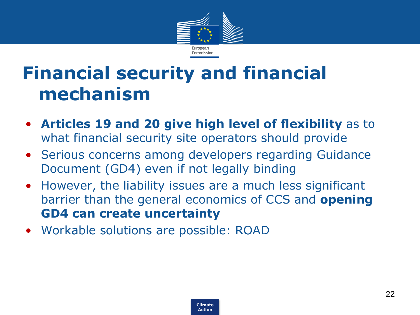

### **Financial security and financial mechanism**

- **Articles 19 and 20 give high level of flexibility** as to what financial security site operators should provide
- Serious concerns among developers regarding Guidance Document (GD4) even if not legally binding
- However, the liability issues are a much less significant barrier than the general economics of CCS and **opening GD4 can create uncertainty**
- Workable solutions are possible: ROAD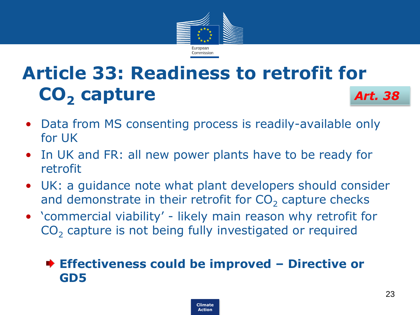

#### **Article 33: Readiness to retrofit for CO<sup>2</sup> capture** *Art. 38*

- Data from MS consenting process is readily-available only for UK
- In UK and FR: all new power plants have to be ready for retrofit
- UK: a guidance note what plant developers should consider and demonstrate in their retrofit for  $CO<sub>2</sub>$  capture checks
- 'commercial viability' likely main reason why retrofit for  $CO<sub>2</sub>$  capture is not being fully investigated or required

#### **Effectiveness could be improved – Directive or GD5**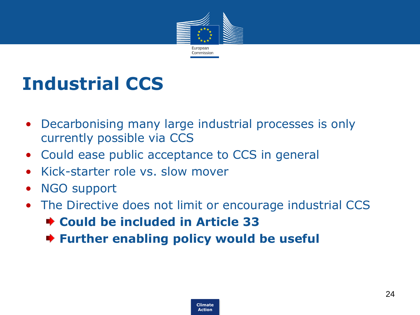

### **Industrial CCS**

- Decarbonising many large industrial processes is only currently possible via CCS
- Could ease public acceptance to CCS in general
- Kick-starter role vs. slow mover
- NGO support
- The Directive does not limit or encourage industrial CCS **Could be included in Article 33 Further enabling policy would be useful**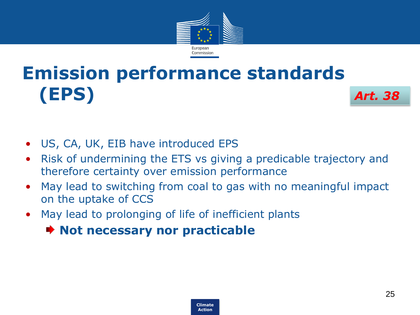

#### **Emission performance standards (EPS)** *Art. 38*

- US, CA, UK, EIB have introduced EPS
- Risk of undermining the ETS vs giving a predicable trajectory and therefore certainty over emission performance
- May lead to switching from coal to gas with no meaningful impact on the uptake of CCS
- May lead to prolonging of life of inefficient plants

#### **Not necessary nor practicable**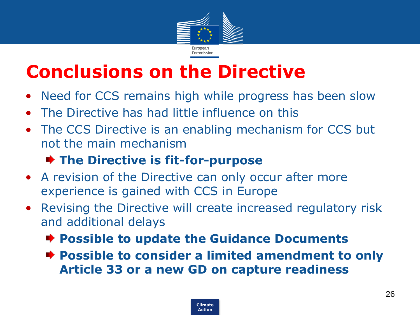

### **Conclusions on the Directive**

- Need for CCS remains high while progress has been slow
- The Directive has had little influence on this
- The CCS Directive is an enabling mechanism for CCS but not the main mechanism

#### **The Directive is fit-for-purpose**

- A revision of the Directive can only occur after more experience is gained with CCS in Europe
- Revising the Directive will create increased regulatory risk and additional delays
	- **Possible to update the Guidance Documents**
	- **Possible to consider a limited amendment to only Article 33 or a new GD on capture readiness**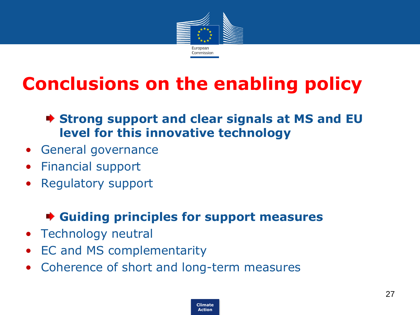

### **Conclusions on the enabling policy**

#### **Strong support and clear signals at MS and EU level for this innovative technology**

- General governance
- Financial support
- Regulatory support

#### **Guiding principles for support measures**

- Technology neutral
- EC and MS complementarity
- Coherence of short and long-term measures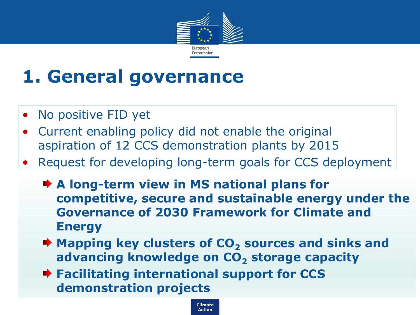

### **1. General governance**

- No positive FID yet
- Current enabling policy did not enable the original aspiration of 12 CCS demonstration plants by 2015
- Request for developing long-term goals for CCS deployment
	- **★ A long-term view in MS national plans for competitive, secure and sustainable energy under the Governance of 2030 Framework for Climate and Energy**
	- **★ Mapping key clusters of CO<sub>2</sub> sources and sinks and advancing knowledge on CO<sup>2</sup> storage capacity**

**Climate Action**

**★ Facilitating international support for CCS demonstration projects**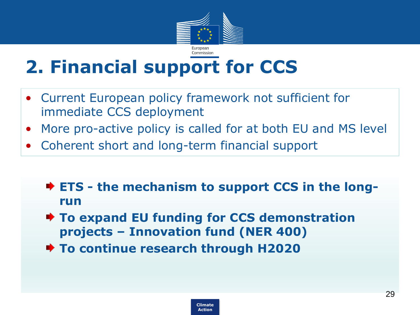

### **2. Financial support for CCS**

- Current European policy framework not sufficient for immediate CCS deployment
- More pro-active policy is called for at both EU and MS level
- Coherent short and long-term financial support
	- **ETS - the mechanism to support CCS in the longrun**
	- **To expand EU funding for CCS demonstration projects – Innovation fund (NER 400)**
	- **To continue research through H2020**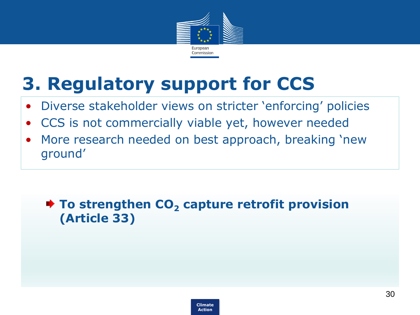

### **3. Regulatory support for CCS**

- Diverse stakeholder views on stricter 'enforcing' policies
- CCS is not commercially viable yet, however needed
- More research needed on best approach, breaking 'new ground'

#### **★ To strengthen CO<sub>2</sub> capture retrofit provision (Article 33)**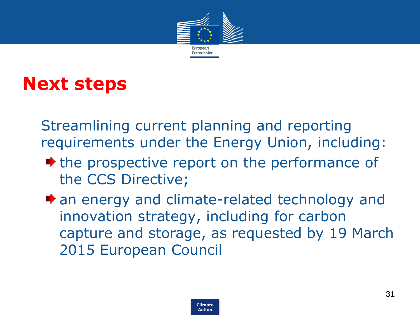

#### **Next steps**

Streamlining current planning and reporting requirements under the Energy Union, including:

- the prospective report on the performance of the CCS Directive;
- $\bullet$  an energy and climate-related technology and innovation strategy, including for carbon capture and storage, as requested by 19 March 2015 European Council